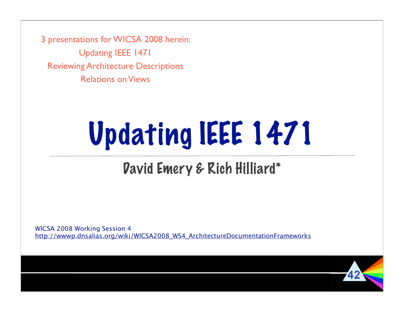3 presentations for WICSA 2008 herein: Updating IEEE 1471 Reviewing Architecture Descriptions Relations on Views

# Updating IEEE 1471

#### David Emery & Rich Hilliard\*

WICSA 2008 Working Session 4 http://wwwp.dnsalias.org/wiki/WICSA2008\_WS4\_ArchitectureDocumentationFrameworks

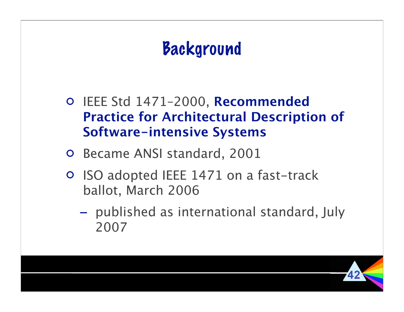## **Background**

- IEEE Std 1471–2000, **Recommended Practice for Architectural Description of Software-intensive Systems**
- o Became ANSI standard, 2001
- **O** ISO adopted IEEE 1471 on a fast-track ballot, March 2006
	- published as international standard, July 2007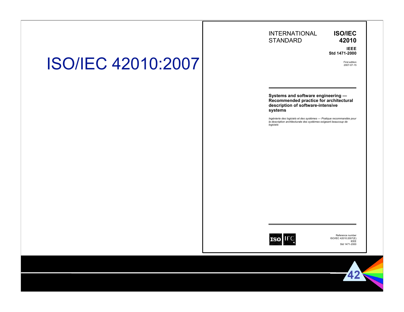| <b>ISO/IEC 42010:2007</b> | <b>INTERNATIONAL</b><br><b>ISO/IEC</b><br><b>STANDARD</b><br>42010<br><b>IEEE</b><br>Std 1471-2000<br>First edition<br>2007-07-15                                                                                                                                                    |
|---------------------------|--------------------------------------------------------------------------------------------------------------------------------------------------------------------------------------------------------------------------------------------------------------------------------------|
|                           | Systems and software engineering -<br>Recommended practice for architectural<br>description of software-intensive<br>systems<br>Ingénierie des logiciels et des systèmes - Pratique recommandée pour<br>la description architecturale des systèmes exigeant beaucoup de<br>logiciels |
|                           |                                                                                                                                                                                                                                                                                      |
|                           | Reference number<br>ISO/IEC 42010:2007(E)<br>IEEE<br>Std 1471-2000                                                                                                                                                                                                                   |
|                           | 42                                                                                                                                                                                                                                                                                   |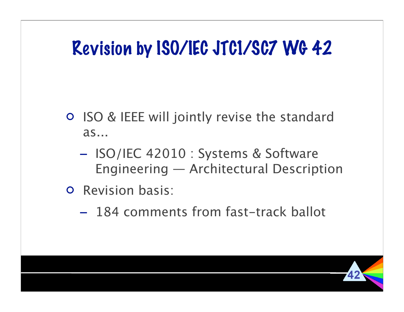## Revision by ISO/IEC JTC1/SC7 WG 42

- o ISO & IEEE will jointly revise the standard as...
	- ISO/IEC 42010 : Systems & Software Engineering — Architectural Description
- o Revision basis:
	- 184 comments from fast-track ballot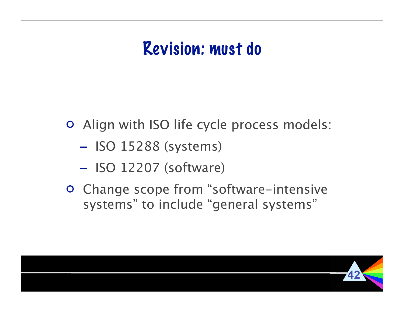## Revision: must do

Align with ISO life cycle process models:

- ISO 15288 (systems)
- ISO 12207 (software)
- Change scope from "software-intensive systems" to include "general systems"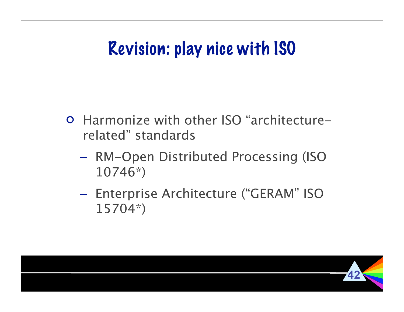## Revision: play nice with ISO

- Harmonize with other ISO "architecturerelated" standards
	- RM-Open Distributed Processing (ISO 10746\*)
	- Enterprise Architecture ("GERAM" ISO 15704\*)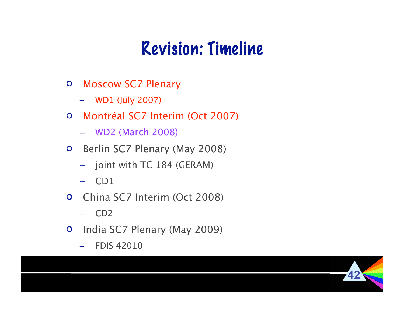## Revision: Timeline

- Moscow SC7 Plenary  $\overline{O}$ 
	- WD1 (July 2007)
- Montréal SC7 Interim (Oct 2007)
	- WD2 (March 2008)
- Berlin SC7 Plenary (May 2008)
	- joint with TC 184 (GERAM)
	- CD1
- China SC7 Interim (Oct 2008)  $\overline{O}$ 
	- CD2
- India SC7 Plenary (May 2009)  $\overline{O}$ 
	- **FDIS 42010**

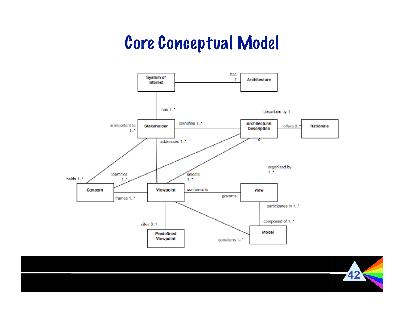## Core Conceptual Model

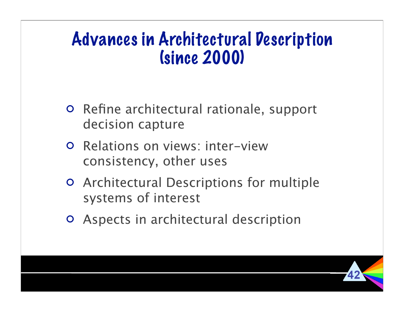## Advances in Architectural Description (since 2000)

- **O** Refine architectural rationale, support decision capture
- Relations on views: inter-view consistency, other uses
- Architectural Descriptions for multiple systems of interest
- Aspects in architectural description

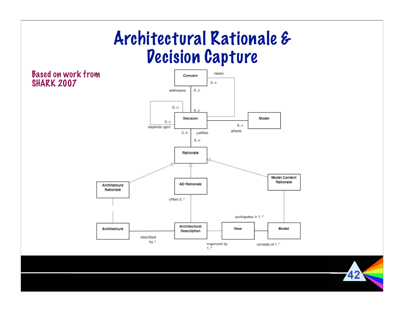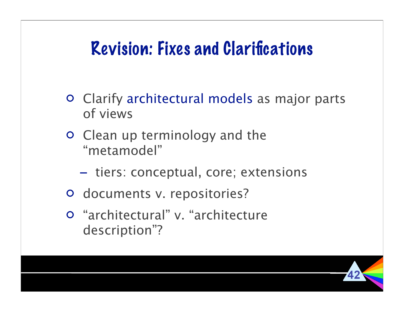## Revision: Fixes and Clarifications

- Clarify architectural models as major parts of views
- **O** Clean up terminology and the "metamodel"
	- tiers: conceptual, core; extensions
- o documents v. repositories?
- "architectural" v. "architecture description"?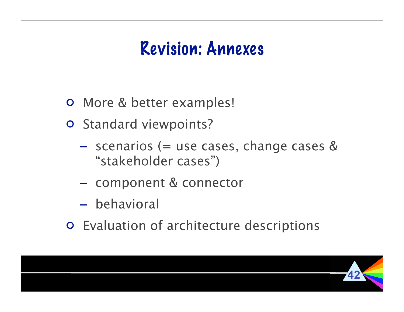## Revision: Annexes

- More & better examples!
- **O** Standard viewpoints?
	- scenarios (= use cases, change cases & "stakeholder cases")
	- component & connector
	- behavioral
- Evaluation of architecture descriptions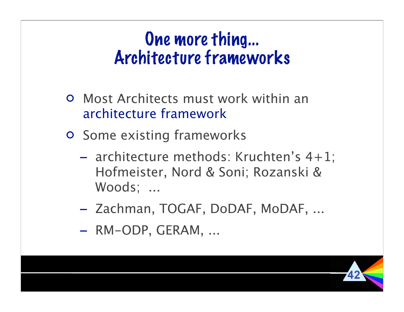### One more thing... Architecture frameworks

- Most Architects must work within an architecture framework
- **O** Some existing frameworks
	- architecture methods: Kruchten's 4+1; Hofmeister, Nord & Soni; Rozanski & Woods; ...
	- Zachman, TOGAF, DoDAF, MoDAF, ...
	- RM-ODP, GERAM, ...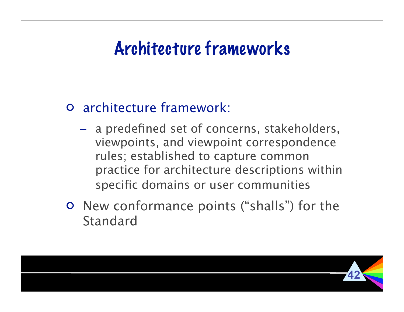## Architecture frameworks

#### architecture framework:

- a predefined set of concerns, stakeholders, viewpoints, and viewpoint correspondence rules; established to capture common practice for architecture descriptions within specific domains or user communities
- New conformance points ("shalls") for the Standard

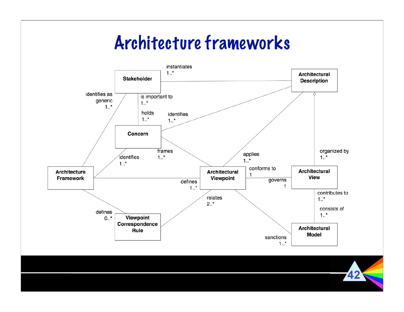## Architecture frameworks

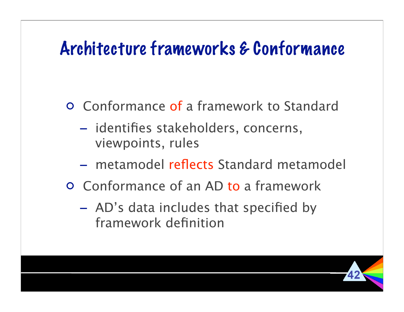## Architecture frameworks & Conformance

- Conformance of a framework to Standard
	- identifies stakeholders, concerns, viewpoints, rules
	- metamodel reflects Standard metamodel
- Conformance of an AD to a framework
	- AD's data includes that specified by framework definition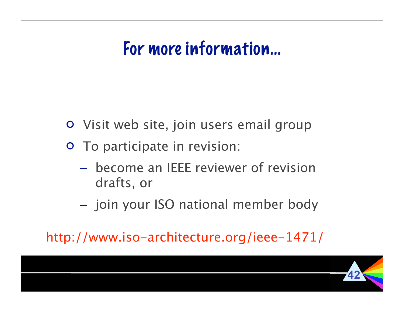## For more information...

- Visit web site, join users email group
- To participate in revision:
	- become an IEEE reviewer of revision drafts, or
	- join your ISO national member body

http://www.iso-architecture.org/ieee-1471/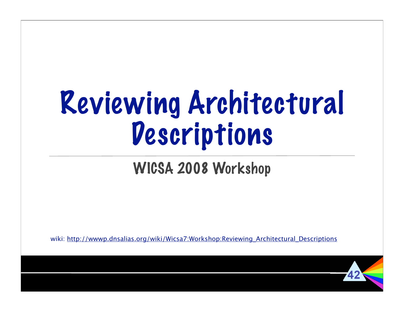## Reviewing Architectural Descriptions

#### WICSA 2008 Workshop

wiki: http://wwwp.dnsalias.org/wiki/Wicsa7:Workshop:Reviewing Architectural Descriptions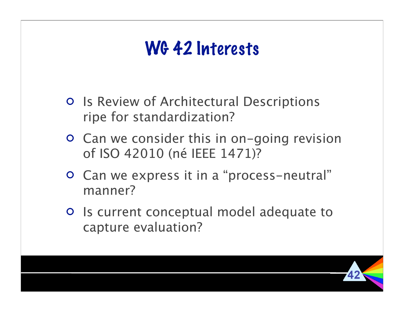## WG 42 Interests

- **O** Is Review of Architectural Descriptions ripe for standardization?
- **O** Can we consider this in on-going revision of ISO 42010 (né IEEE 1471)?
- Can we express it in a "process-neutral" manner?
- **O** Is current conceptual model adequate to capture evaluation?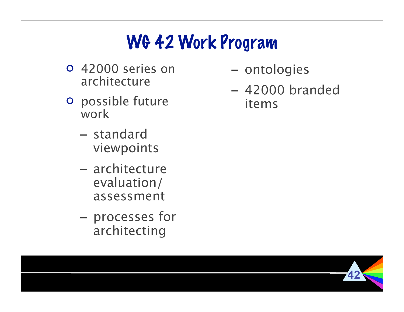## WG 42 Work Program

- 42000 series on architecture
- o possible future work
	- standard viewpoints
	- architecture evaluation/ assessment
	- processes for architecting
- ontologies
- 42000 branded items

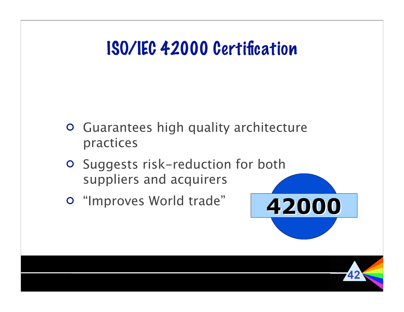## ISO/IEC 42000 Certification

- Guarantees high quality architecture practices
- **O** Suggests risk-reduction for both suppliers and acquirers
- "Improves World trade" **42000**



**A**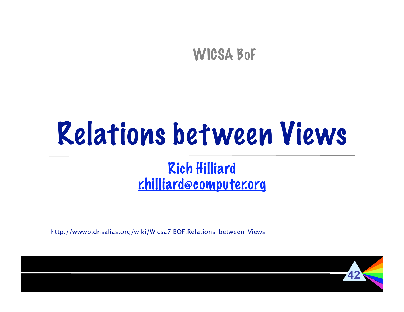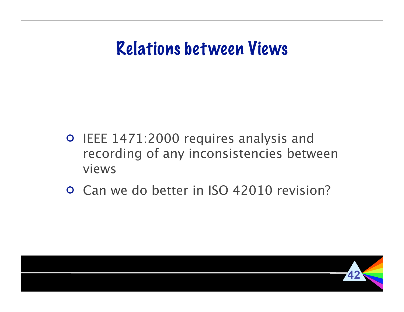## Relations between Views

- o IEEE 1471:2000 requires analysis and recording of any inconsistencies between views
- Can we do better in ISO 42010 revision?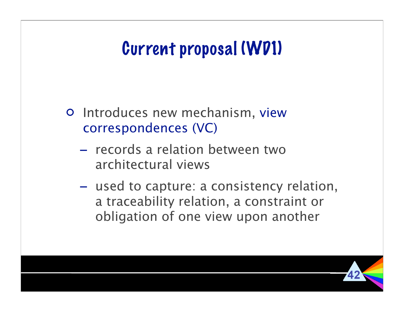## Current proposal (WD1)

- **O** Introduces new mechanism, view correspondences (VC)
	- records a relation between two architectural views
	- used to capture: a consistency relation, a traceability relation, a constraint or obligation of one view upon another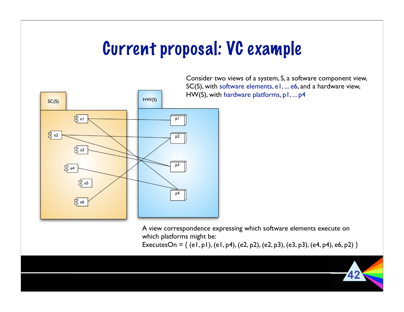## Current proposal: VC example



Consider two views of a system, S, a software component view, SC(S), with software elements, e1, ... e6, and a hardware view, HW(S), with hardware platforms, p1, ... p4

A view correspondence expressing which software elements execute on which platforms might be:

ExecutesOn = {  $(e1, p1)$ ,  $(e1, p4)$ ,  $(e2, p2)$ ,  $(e2, p3)$ ,  $(e3, p3)$ ,  $(e4, p4)$ ,  $e6, p2)$  }

42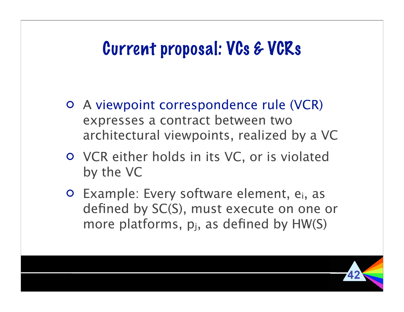## Current proposal: VCs & VCRs

- A viewpoint correspondence rule (VCR) expresses a contract between two architectural viewpoints, realized by a VC
- VCR either holds in its VC, or is violated by the VC
- Example: Every software element, ei, as defined by SC(S), must execute on one or more platforms,  $p_i$ , as defined by HW(S)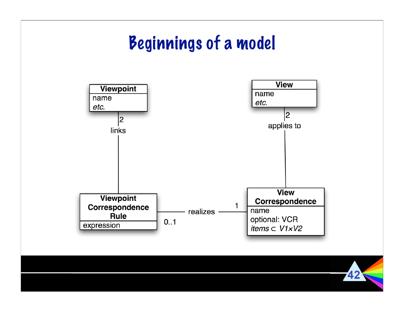## Beginnings of a model



42